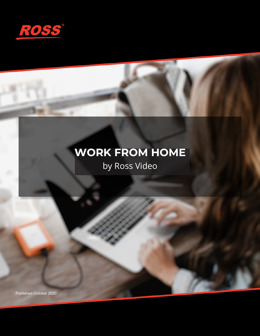

# **WORK FROM HOME**

## by Ross Video

Published October 2020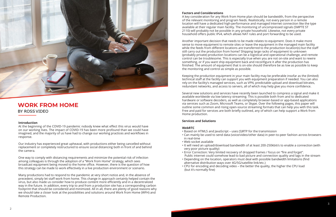

### **WORK FROM HOME** BY ROSSVIDEO

#### **Introduction**

At the beginning of the COVID-19 pandemic nobody knew what effect this virus would have on our working lives. The impact of COVID-19 has been more profound than we could have imagined, and the majority of us have had to change our working practices and workflows in response.

Our industry has experienced great upheaval, with productions either being cancelled without replacement or completely restructured to ensure social distancing both in front of and behind the camera.

One way to comply with distancing requirements and minimize the potential risk of infection among colleagues is through the adoption of a "Work from Home" strategy, which sees broadcast equipment being moved to the home office. However, there is the question of how this strategy can be made to work effectively in a live production environment or scenario.

Many productions had to respond to the pandemic at very short notice and, in the absence of precedent, simply let staff work from home. This change in approach certainly helped contain the virus, but also made us consider how to produce content more efficiently and in a decentralized way in the future. In addition, every trip to and from a production site has a corresponding carbon footprint that should be considered and minimized. All in all, there are plenty of good reasons why we should take a closer look at the possibilities and solutions around Work from Home (WFH) and Remote Production.

#### **Factors and Considerations**

A key consideration for any Work from Home plan should be bandwidth, from the perspective of the relevant monitoring and program feeds. Realistically, not every person in a remote location will have a dedicated high-performance and managed Internet connection like the type available at their regular main facility. The monitoring of uncompressed signals (SMPTE ST 2110) will probably not be possible in any private household. Likewise, not every private household offers public IPv4, which allows NAT rules and port forwarding to be used.

Another important decision that needs to be made relates to equipment. Does it make more sense to move equipment to remote sites or leave the equipment in the managed main facility while the feeds from different locations are transferred to the production location(s) but the staff still carry out the production from home? Shipping large racks of equipment to unknown (probably private) production locations can be a logistical and operational challenge, and remote control can be troublesome. This is especially true when you are not on-site and want to rewire something, or if you want ship equipment back and reconfigure it after the production has finished. The amount of equipment that is on-site should therefore be as low as possible to keep the monitoring and control as simple as possible.

Keeping the production equipment in your main facility may be preferable insofar as the (limited) technical staff at the facility can support you with equipment preparation if needed. You can also rely on the facility's managed services, such as VPN, predictable upload and download bitrates, redundant networks, and access to servers, all of which may help give you more confidence.

Several new solutions and services have recently been launched to compress a signal and make it available worldwide via low-latency streaming. This is possible both from and to dedicated hardware or software decoders, as well as completely browser-based or app-based applications via services such as Zoom, Microsoft Teams, or Skype. Over the following pages, this paper will outline some common and rising open-source streaming formats that can help you with this task. Free and paid for services are both briefly outlined, any of which can help support a Work from Home production.

#### **Services and Solutions**

#### **WebRTC**

• Can mainly be used to send data (voice/video/other data) in peer-to-peer fashion across browsers

• It will need an upload/download bandwidth of at least 200-250kbit/s to enable a connection (with

- Based on HTML5 and JavaScript uses (S)RTP for the transmission
- in real-time
- Web socket available
- very poor picture quality)
- 
- Depending on the location, operators must deal with possible bandwidth limitations (find alternative distribution ways over 4G/5G/satellite link/etc.)
- CPU for encoding and decoding video the better the quality, the higher the CPU load (but it's normally fine)

• Error Correction: Very limited recovery of dropped frames / focus on "fire and forget". Public internet could somehow lead to bad picture and connection quality and lags in the stream

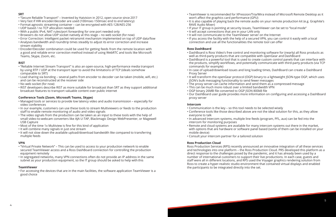#### **SRT**

- "Secure Reliable Transport" Invented by Haivision in 2012, open source since 2017
- Very fast if HW encoder/decoder are used (100msec-150msec end to end latency)
- Format-agnostic streaming container can be encrypted with AES-128/AES-256
- UDP based / no TCP allocation needed
- With a public IPv4, NAT rules/port forwarding for one port needed only
- Browsers do not allow UDP socket natively at this stage no web socket (for now)
- Error Correction: Intelligent packet retransmit mechanism implemented on top of UDP data flow
- Analyses bandwidth and roundtrip times steadily to adjust its error correction and increase stream stability
- Encoder/Decoder combination could be used for getting feeds from the remote location with a good and reliable error correction method instead of using WebRTC and tools like Microsoft Teams, Skype, Zoom, etc.

#### **RIST**

- "Reliable Internet Stream Transport" is also an open-source, high-performance media transport by using RTP / UDP at the transport layer to avoid the limitations of TCP (ideals somehow comparable to SRT)
- Load sharing via bonding several paths from encoder to decoder can be taken (mobile, wifi, etc.) and can be reconstructed at the receiver side
- No web socket (for now)
- RIST developers describe RIST as more suitable for broadcast than SRT as they support additional broadcast features to transport valuable content over public internet

#### **Conference Tools (Zoom, Microsoft Teams, Skype)**

- Managed tools or services to provide low latency video and audio transmission especially for video conferences
- In our example, customers can use these tools to stream Multiviewers or feeds to the production staff to enable remote monitoring of audio and video signals
- The video signals from the production can be taken as an input to these tools with the help of small video-to-webcam converters like AJA U-TAP, Blackmagic Design WebPresenter, or Magewell USB Capture
- Most of the time 1x Multiview is fine for this kind of application
- It will combine many signals in just one stream
- It will not slow down the available upload/download bandwidth like compared to transferring multiple feeds
- well as third-party products that are compatible with openGear and DashBoard
- commands for example)
- Proxy Server
- JSON's bulk messaging functionality to send fewer messages
- The proxy server can cache information and send them as a compressed message
- This can be much more robust over a limited bandwidth VPN
- OGP binary 26MB file converted to OGP JSON 800kB file
- proxy server

#### **VPN**

- "Virtual Private Network" This can be used to access to your production network to enable secured TeamViewer access and a Ross DashBoard connection for controlling the production equipment remotely
- In segregated networks, many VPN connections often do not provide an IP address in the same subnet as your production equipment, so the IT group should be asked to help with this

#### **TeamViewer**

• For accessing the devices that are in the main facilities, the software application TeamViewer is a good choice

• TeamViewer is recommended for XPression/Tria/Mira instead of Microsoft Remote Desktop as it

• It is also capable of playing back the remote audio on your remote production kit (e.g. Graphite's

- won't affect the graphics card performance (GPU)
- RAVE Audio Mixer)
- If your IT group is pointing at security issues, TeamViewer can be set to "local mode"
- It will accept connections that are in your LAN only
- It will not communicate to the TeamViewer server on the Internet
- connection and use all the functionalities the remote tool can offer

• If you access the facility with the help of a secured VPN, you can control it easily with a local

#### **Ross DashBoard**

• DashBoard is Ross Video's free control and monitoring software for (nearly) all Ross products as

• DashBoard is a powerful tool that is used to create custom control panels that can interface with the products, simplify workflows, and potentially communicate with third-party products (via TCP

• In case of upload/download issues and long loading times, DashBoard can create a DashBoard

• It will transform the openGear protocol (OGP) binary to a lightweight JSON-type OGP, which uses

• Our DashBoard user guide provides more information on configuring and accessing a DashBoard

#### **Intercom**

• Conference tools like those described above are not the ideal solution for this, as they allow

• In advanced Intercom systems, multiple line feeds (program, PFL, aux) can be fed into the

- Communication is the key so this tool needs to be selected wisely
- everyone to talk
- intercom for monitoring purposes
- mobile device)
- Consult your intercom partner for a tailored solution

• Remote and cloud systems are available for many intercom systems out there in the market, with options that are hardware or software panel based (some of them can be installed on your

#### **Ross Production Cloud**

Ross Production Services (RPS) recently announced an innovative integration of all these services and technologies into one platform – the Ross Production Cloud. PRS developed this platform as a direct response to the challenges posed by the pandemic, and it has already been used by a number of international customers to support their live productions. In each case, guests and staff were all in different locations, and RPS used the Voyager graphics rendering solution from Ross to create a hyper-realistic studio environment that contained virtual displays and enabled the participants to be integrated directly into the set.